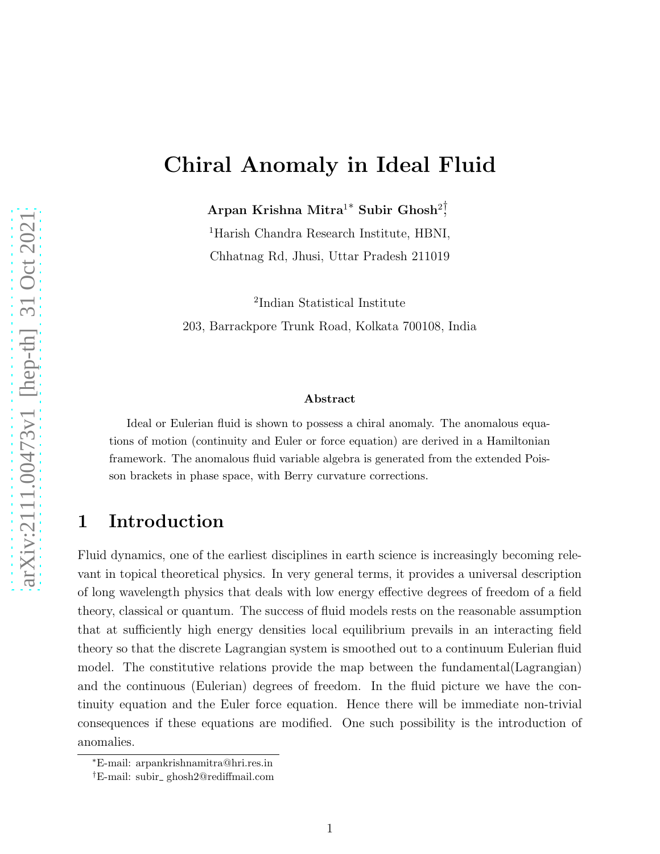# Chiral Anomaly in Ideal Fluid

 $\rm{Arpan}$  Krishna  $\rm{Mitra^{1}}^*$  Subir  $\rm{Ghosh^{2}}$ 

<sup>1</sup>Harish Chandra Research Institute, HBNI, Chhatnag Rd, Jhusi, Uttar Pradesh 211019

2 Indian Statistical Institute 203, Barrackpore Trunk Road, Kolkata 700108, India

#### Abstract

Ideal or Eulerian fluid is shown to possess a chiral anomaly. The anomalous equations of motion (continuity and Euler or force equation) are derived in a Hamiltonian framework. The anomalous fluid variable algebra is generated from the extended Poisson brackets in phase space, with Berry curvature corrections.

## 1 Introduction

Fluid dynamics, one of the earliest disciplines in earth science is increasingly becoming relevant in topical theoretical physics. In very general terms, it provides a universal description of long wavelength physics that deals with low energy effective degrees of freedom of a field theory, classical or quantum. The success of fluid models rests on the reasonable assumption that at sufficiently high energy densities local equilibrium prevails in an interacting field theory so that the discrete Lagrangian system is smoothed out to a continuum Eulerian fluid model. The constitutive relations provide the map between the fundamental(Lagrangian) and the continuous (Eulerian) degrees of freedom. In the fluid picture we have the continuity equation and the Euler force equation. Hence there will be immediate non-trivial consequences if these equations are modified. One such possibility is the introduction of anomalies.

<sup>∗</sup>E-mail: arpankrishnamitra@hri.res.in

<sup>†</sup>E-mail: subir ghosh2@rediffmail.com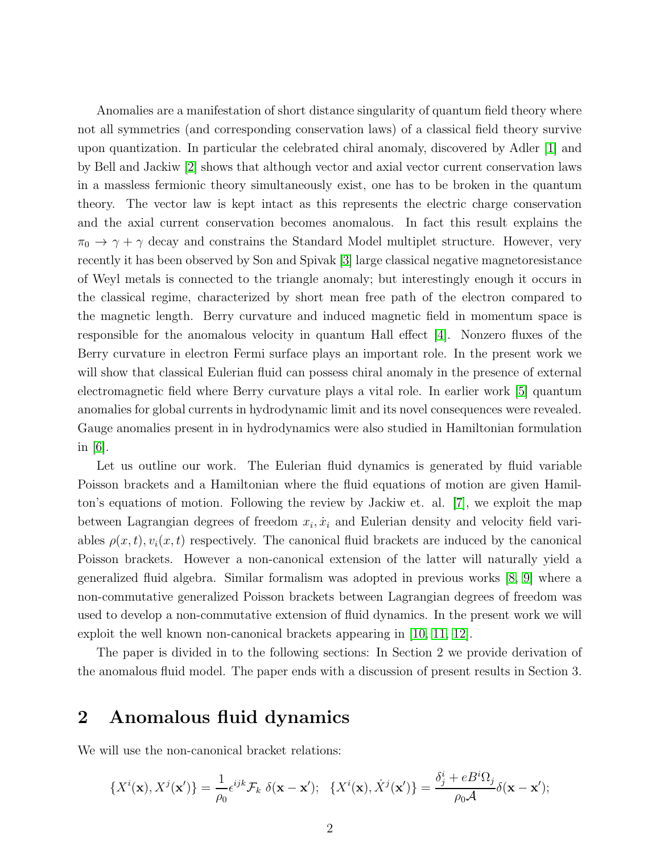Anomalies are a manifestation of short distance singularity of quantum field theory where not all symmetries (and corresponding conservation laws) of a classical field theory survive upon quantization. In particular the celebrated chiral anomaly, discovered by Adler [\[1\]](#page-6-0) and by Bell and Jackiw [\[2\]](#page-6-1) shows that although vector and axial vector current conservation laws in a massless fermionic theory simultaneously exist, one has to be broken in the quantum theory. The vector law is kept intact as this represents the electric charge conservation and the axial current conservation becomes anomalous. In fact this result explains the  $\pi_0 \rightarrow \gamma + \gamma$  decay and constrains the Standard Model multiplet structure. However, very recently it has been observed by Son and Spivak [\[3\]](#page-6-2) large classical negative magnetoresistance of Weyl metals is connected to the triangle anomaly; but interestingly enough it occurs in the classical regime, characterized by short mean free path of the electron compared to the magnetic length. Berry curvature and induced magnetic field in momentum space is responsible for the anomalous velocity in quantum Hall effect [\[4\]](#page-6-3). Nonzero fluxes of the Berry curvature in electron Fermi surface plays an important role. In the present work we will show that classical Eulerian fluid can possess chiral anomaly in the presence of external electromagnetic field where Berry curvature plays a vital role. In earlier work [\[5\]](#page-6-4) quantum anomalies for global currents in hydrodynamic limit and its novel consequences were revealed. Gauge anomalies present in in hydrodynamics were also studied in Hamiltonian formulation in  $|6|$ .

Let us outline our work. The Eulerian fluid dynamics is generated by fluid variable Poisson brackets and a Hamiltonian where the fluid equations of motion are given Hamilton's equations of motion. Following the review by Jackiw et. al. [\[7\]](#page-6-6), we exploit the map between Lagrangian degrees of freedom  $x_i, \dot{x}_i$  and Eulerian density and velocity field variables  $\rho(x, t)$ ,  $v_i(x, t)$  respectively. The canonical fluid brackets are induced by the canonical Poisson brackets. However a non-canonical extension of the latter will naturally yield a generalized fluid algebra. Similar formalism was adopted in previous works [\[8,](#page-6-7) [9\]](#page-6-8) where a non-commutative generalized Poisson brackets between Lagrangian degrees of freedom was used to develop a non-commutative extension of fluid dynamics. In the present work we will exploit the well known non-canonical brackets appearing in [\[10,](#page-6-9) [11,](#page-6-10) [12\]](#page-7-0).

The paper is divided in to the following sections: In Section 2 we provide derivation of the anomalous fluid model. The paper ends with a discussion of present results in Section 3.

### 2 Anomalous fluid dynamics

We will use the non-canonical bracket relations:

$$
\{X^i(\mathbf{x}), X^j(\mathbf{x}')\} = \frac{1}{\rho_0} \epsilon^{ijk} \mathcal{F}_k \ \delta(\mathbf{x} - \mathbf{x}'); \ \ \{X^i(\mathbf{x}), X^j(\mathbf{x}')\} = \frac{\delta^i_j + e^{i\Omega_j}}{\rho_0 \mathcal{A}} \delta(\mathbf{x} - \mathbf{x}');
$$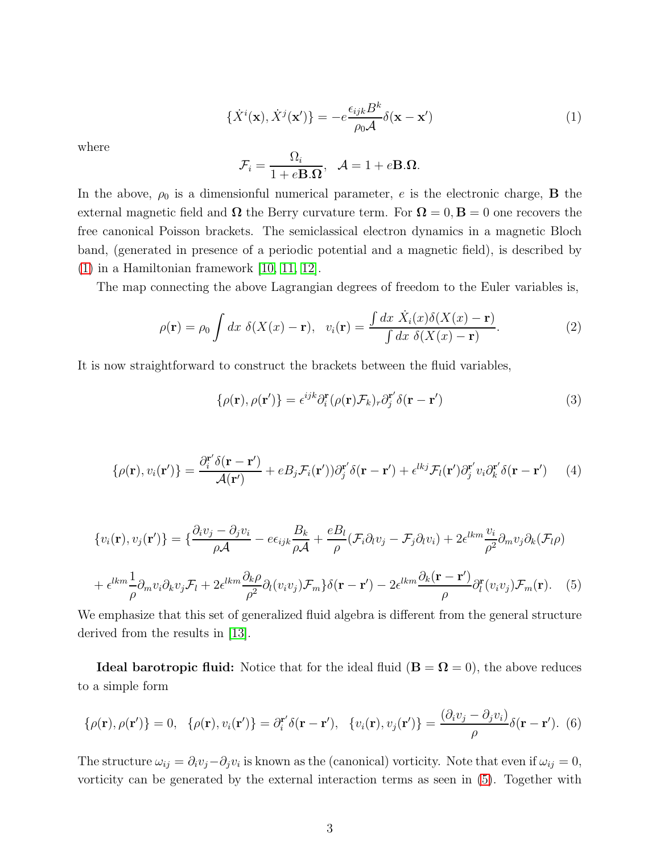<span id="page-2-0"></span>
$$
\{\dot{X}^i(\mathbf{x}), \dot{X}^j(\mathbf{x}')\} = -e^{\frac{\epsilon_{ijk}B^k}{\rho_0 A}} \delta(\mathbf{x} - \mathbf{x}')\tag{1}
$$

where

$$
\mathcal{F}_i = \frac{\Omega_i}{1 + e\mathbf{B}.\Omega}, \quad \mathcal{A} = 1 + e\mathbf{B}.\Omega.
$$

In the above,  $\rho_0$  is a dimensionful numerical parameter, e is the electronic charge, **B** the external magnetic field and  $\Omega$  the Berry curvature term. For  $\Omega = 0, B = 0$  one recovers the free canonical Poisson brackets. The semiclassical electron dynamics in a magnetic Bloch band, (generated in presence of a periodic potential and a magnetic field), is described by  $(1)$  in a Hamiltonian framework [\[10,](#page-6-9) [11,](#page-6-10) [12\]](#page-7-0).

The map connecting the above Lagrangian degrees of freedom to the Euler variables is,

$$
\rho(\mathbf{r}) = \rho_0 \int dx \; \delta(X(x) - \mathbf{r}), \quad v_i(\mathbf{r}) = \frac{\int dx \; \dot{X}_i(x) \delta(X(x) - \mathbf{r})}{\int dx \; \delta(X(x) - \mathbf{r})}.
$$
 (2)

It is now straightforward to construct the brackets between the fluid variables,

$$
\{\rho(\mathbf{r}), \rho(\mathbf{r}')\} = \epsilon^{ijk} \partial_i^{\mathbf{r}} (\rho(\mathbf{r}) \mathcal{F}_k)_r \partial_j^{\mathbf{r}'} \delta(\mathbf{r} - \mathbf{r}')
$$
\n(3)

$$
\{\rho(\mathbf{r}), v_i(\mathbf{r}')\} = \frac{\partial_i^{\mathbf{r}'} \delta(\mathbf{r} - \mathbf{r}')}{\mathcal{A}(\mathbf{r}')} + e B_j \mathcal{F}_i(\mathbf{r}')) \partial_j^{\mathbf{r}'} \delta(\mathbf{r} - \mathbf{r}') + \epsilon^{lkj} \mathcal{F}_l(\mathbf{r}') \partial_j^{\mathbf{r}'} v_i \partial_k^{\mathbf{r}'} \delta(\mathbf{r} - \mathbf{r}') \tag{4}
$$

$$
\{v_i(\mathbf{r}), v_j(\mathbf{r}')\} = \{\frac{\partial_i v_j - \partial_j v_i}{\rho \mathcal{A}} - e\epsilon_{ijk}\frac{B_k}{\rho \mathcal{A}} + \frac{eB_l}{\rho}(\mathcal{F}_i\partial_l v_j - \mathcal{F}_j\partial_l v_i) + 2\epsilon^{lkm}\frac{v_i}{\rho^2}\partial_m v_j\partial_k(\mathcal{F}_l\rho) + \epsilon^{lkm}\frac{1}{\rho}\partial_m v_i\partial_k v_j\mathcal{F}_l + 2\epsilon^{lkm}\frac{\partial_k \rho}{\rho^2}\partial_l(v_i v_j)\mathcal{F}_m\}\delta(\mathbf{r} - \mathbf{r}') - 2\epsilon^{lkm}\frac{\partial_k(\mathbf{r} - \mathbf{r}')}{\rho}\partial_l^{\mathbf{r}}(v_i v_j)\mathcal{F}_m(\mathbf{r}).
$$
 (5)

<span id="page-2-1"></span>We emphasize that this set of generalized fluid algebra is different from the general structure derived from the results in [\[13\]](#page-7-1).

**Ideal barotropic fluid:** Notice that for the ideal fluid  $(B = \Omega = 0)$ , the above reduces to a simple form

$$
\{\rho(\mathbf{r}), \rho(\mathbf{r}')\} = 0, \quad \{\rho(\mathbf{r}), v_i(\mathbf{r}')\} = \partial_i^{\mathbf{r}'} \delta(\mathbf{r} - \mathbf{r}'), \quad \{v_i(\mathbf{r}), v_j(\mathbf{r}')\} = \frac{(\partial_i v_j - \partial_j v_i)}{\rho} \delta(\mathbf{r} - \mathbf{r}'). \tag{6}
$$

The structure  $\omega_{ij} = \partial_i v_j - \partial_j v_i$  is known as the (canonical) vorticity. Note that even if  $\omega_{ij} = 0$ , vorticity can be generated by the external interaction terms as seen in [\(5\)](#page-2-1). Together with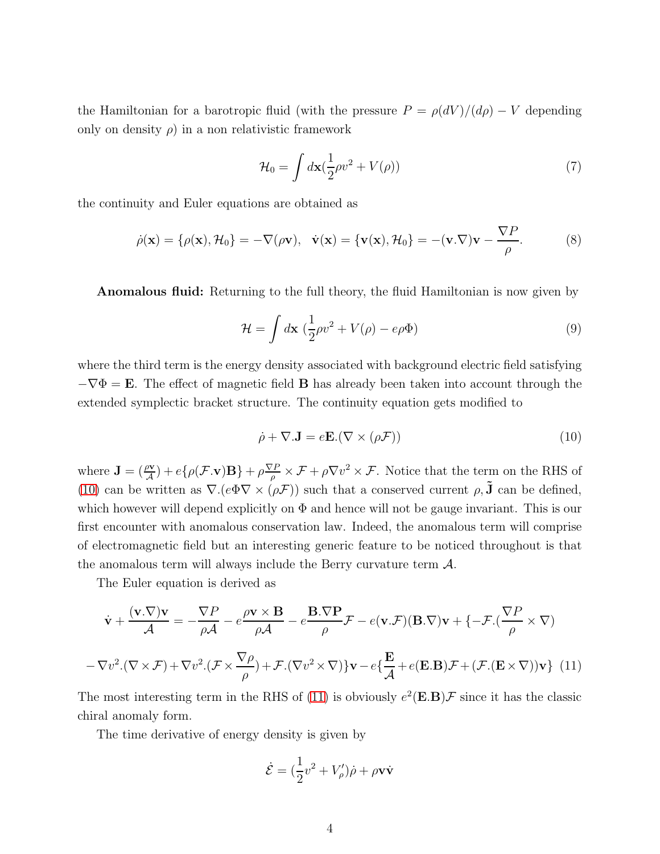the Hamiltonian for a barotropic fluid (with the pressure  $P = \rho(dV)/(d\rho) - V$  depending only on density  $\rho$ ) in a non relativistic framework

$$
\mathcal{H}_0 = \int d\mathbf{x} \left(\frac{1}{2}\rho v^2 + V(\rho)\right) \tag{7}
$$

the continuity and Euler equations are obtained as

$$
\dot{\rho}(\mathbf{x}) = {\rho(\mathbf{x}), \mathcal{H}_0} = -\nabla(\rho \mathbf{v}), \quad \dot{\mathbf{v}}(\mathbf{x}) = {\mathbf{v}(\mathbf{x}), \mathcal{H}_0} = -(\mathbf{v}.\nabla)\mathbf{v} - \frac{\nabla P}{\rho}.
$$
 (8)

**Anomalous fluid:** Returning to the full theory, the fluid Hamiltonian is now given by

$$
\mathcal{H} = \int d\mathbf{x} \left( \frac{1}{2} \rho v^2 + V(\rho) - e\rho \Phi \right)
$$
\n(9)

where the third term is the energy density associated with background electric field satisfying  $-\nabla\Phi = \mathbf{E}$ . The effect of magnetic field **B** has already been taken into account through the extended symplectic bracket structure. The continuity equation gets modified to

<span id="page-3-0"></span>
$$
\dot{\rho} + \nabla \mathbf{.} \mathbf{J} = e\mathbf{E} . (\nabla \times (\rho \mathcal{F})) \tag{10}
$$

where  $\mathbf{J} = (\frac{\rho \mathbf{v}}{A}) + e \{ \rho(\mathcal{F}.\mathbf{v}) \mathbf{B} \} + \rho \frac{\nabla P}{\rho}$  $\frac{\partial P}{\partial \rho} \times \mathcal{F} + \rho \nabla v^2 \times \mathcal{F}$ . Notice that the term on the RHS of [\(10\)](#page-3-0) can be written as  $\nabla.(e\Phi \nabla \times (\rho \mathcal{F}))$  such that a conserved current  $\rho, \tilde{\mathbf{J}}$  can be defined, which however will depend explicitly on  $\Phi$  and hence will not be gauge invariant. This is our first encounter with anomalous conservation law. Indeed, the anomalous term will comprise of electromagnetic field but an interesting generic feature to be noticed throughout is that the anomalous term will always include the Berry curvature term  $\mathcal{A}$ .

The Euler equation is derived as

$$
\dot{\mathbf{v}} + \frac{(\mathbf{v}.\nabla)\mathbf{v}}{\mathcal{A}} = -\frac{\nabla P}{\rho\mathcal{A}} - e\frac{\rho\mathbf{v} \times \mathbf{B}}{\rho\mathcal{A}} - e\frac{\mathbf{B}.\nabla \mathbf{P}}{\rho}\mathcal{F} - e(\mathbf{v}.\mathcal{F})(\mathbf{B}.\nabla)\mathbf{v} + \{-\mathcal{F}.(\frac{\nabla P}{\rho} \times \nabla)\
$$

$$
-\nabla v^2.(\nabla \times \mathcal{F}) + \nabla v^2.(\mathcal{F} \times \frac{\nabla \rho}{\rho}) + \mathcal{F}.(\nabla v^2 \times \nabla)\} \mathbf{v} - e\{\frac{\mathbf{E}}{\mathcal{A}} + e(\mathbf{E}.\mathbf{B})\mathcal{F} + (\mathcal{F}.(\mathbf{E} \times \nabla))\mathbf{v}\} \tag{11}
$$

<span id="page-3-1"></span>The most interesting term in the RHS of [\(11\)](#page-3-1) is obviously  $e^2(\mathbf{E}.\mathbf{B})\mathcal{F}$  since it has the classic chiral anomaly form.

The time derivative of energy density is given by

$$
\dot{\mathcal{E}} = \left(\frac{1}{2}v^2 + V'_{\rho}\right)\dot{\rho} + \rho \mathbf{v}\dot{\mathbf{v}}
$$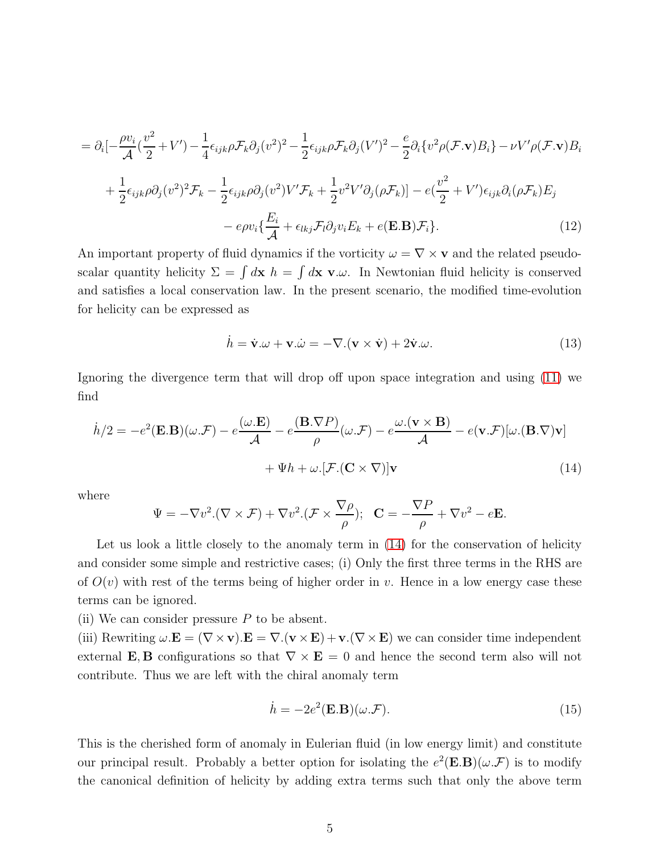$$
= \partial_i \left[ -\frac{\rho v_i}{\mathcal{A}} \left( \frac{v^2}{2} + V' \right) - \frac{1}{4} \epsilon_{ijk} \rho \mathcal{F}_k \partial_j (v^2)^2 - \frac{1}{2} \epsilon_{ijk} \rho \mathcal{F}_k \partial_j (V')^2 - \frac{e}{2} \partial_i \{ v^2 \rho (\mathcal{F}.\mathbf{v}) B_i \} - \nu V' \rho (\mathcal{F}.\mathbf{v}) B_i \} + \frac{1}{2} \epsilon_{ijk} \rho \partial_j (v^2)^2 \mathcal{F}_k - \frac{1}{2} \epsilon_{ijk} \rho \partial_j (v^2) V' \mathcal{F}_k + \frac{1}{2} v^2 V' \partial_j (\rho \mathcal{F}_k) \right] - e \left( \frac{v^2}{2} + V' \right) \epsilon_{ijk} \partial_i (\rho \mathcal{F}_k) E_j - e \rho v_i \{ \frac{E_i}{\mathcal{A}} + \epsilon_{lkj} \mathcal{F}_l \partial_j v_i E_k + e(\mathbf{E}.\mathbf{B}) \mathcal{F}_i \}.
$$
\n(12)

An important property of fluid dynamics if the vorticity  $\omega = \nabla \times \mathbf{v}$  and the related pseudoscalar quantity helicity  $\Sigma = \int d\mathbf{x} \, h = \int d\mathbf{x} \, \mathbf{v} \cdot \omega$ . In Newtonian fluid helicity is conserved and satisfies a local conservation law. In the present scenario, the modified time-evolution for helicity can be expressed as

$$
\dot{h} = \dot{\mathbf{v}}.\omega + \mathbf{v}.\dot{\omega} = -\nabla.(\mathbf{v} \times \dot{\mathbf{v}}) + 2\dot{\mathbf{v}}.\omega.
$$
\n(13)

Ignoring the divergence term that will drop off upon space integration and using [\(11\)](#page-3-1) we find

$$
\dot{h}/2 = -e^2(\mathbf{E}.\mathbf{B})(\omega.\mathcal{F}) - e^{\frac{(\omega.\mathbf{E})}{\mathcal{A}}} - e^{\frac{(\mathbf{B}.\nabla P)}{\rho}}(\omega.\mathcal{F}) - e^{\frac{\omega.(\mathbf{v} \times \mathbf{B})}{\mathcal{A}}} - e(\mathbf{v}.\mathcal{F})[\omega.(\mathbf{B}.\nabla)\mathbf{v}]
$$

$$
+ \Psi h + \omega.[\mathcal{F}.(\mathbf{C} \times \nabla)]\mathbf{v}
$$
(14)

where

<span id="page-4-0"></span>
$$
\Psi = -\nabla v^2 \cdot (\nabla \times \mathcal{F}) + \nabla v^2 \cdot (\mathcal{F} \times \frac{\nabla \rho}{\rho}); \quad \mathbf{C} = -\frac{\nabla P}{\rho} + \nabla v^2 - e\mathbf{E}.
$$

Let us look a little closely to the anomaly term in  $(14)$  for the conservation of helicity and consider some simple and restrictive cases; (i) Only the first three terms in the RHS are of  $O(v)$  with rest of the terms being of higher order in v. Hence in a low energy case these terms can be ignored.

(ii) We can consider pressure  $P$  to be absent.

(iii) Rewriting  $\omega \cdot \mathbf{E} = (\nabla \times \mathbf{v}) \cdot \mathbf{E} = \nabla \cdot (\mathbf{v} \times \mathbf{E}) + \mathbf{v} \cdot (\nabla \times \mathbf{E})$  we can consider time independent external **E**, **B** configurations so that  $\nabla \times \mathbf{E} = 0$  and hence the second term also will not contribute. Thus we are left with the chiral anomaly term

$$
\dot{h} = -2e^2(\mathbf{E}.\mathbf{B})(\omega.\mathcal{F}).\tag{15}
$$

This is the cherished form of anomaly in Eulerian fluid (in low energy limit) and constitute our principal result. Probably a better option for isolating the  $e^2(\mathbf{E}.\mathbf{B})(\omega.\mathcal{F})$  is to modify the canonical definition of helicity by adding extra terms such that only the above term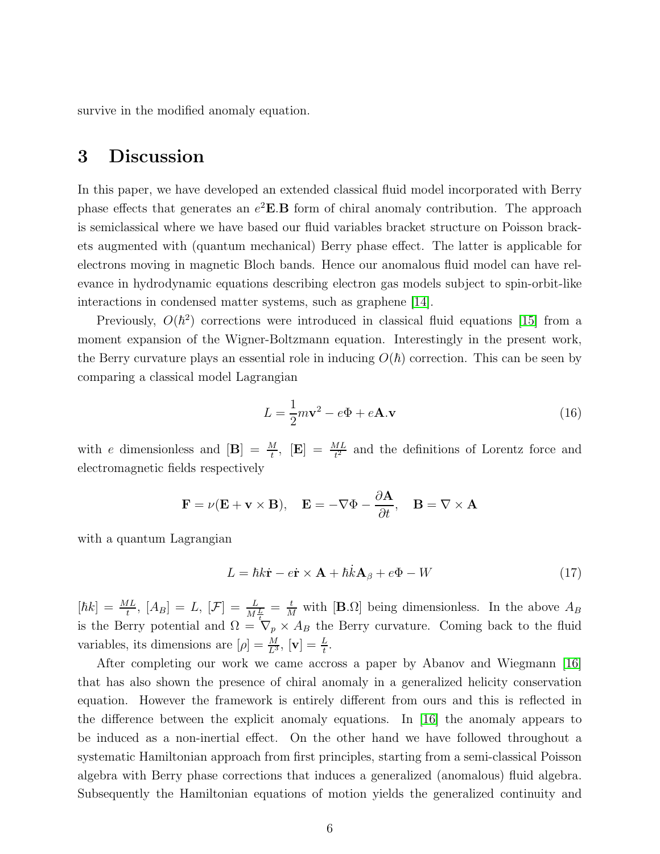survive in the modified anomaly equation.

#### 3 Discussion

In this paper, we have developed an extended classical fluid model incorporated with Berry phase effects that generates an  $e^2 \mathbf{E} \cdot \mathbf{B}$  form of chiral anomaly contribution. The approach is semiclassical where we have based our fluid variables bracket structure on Poisson brackets augmented with (quantum mechanical) Berry phase effect. The latter is applicable for electrons moving in magnetic Bloch bands. Hence our anomalous fluid model can have relevance in hydrodynamic equations describing electron gas models subject to spin-orbit-like interactions in condensed matter systems, such as graphene [\[14\]](#page-7-2).

Previously,  $O(\hbar^2)$  corrections were introduced in classical fluid equations [\[15\]](#page-7-3) from a moment expansion of the Wigner-Boltzmann equation. Interestingly in the present work, the Berry curvature plays an essential role in inducing  $O(\hbar)$  correction. This can be seen by comparing a classical model Lagrangian

$$
L = \frac{1}{2}m\mathbf{v}^2 - e\Phi + e\mathbf{A}\mathbf{v} \tag{16}
$$

with e dimensionless and  $[\mathbf{B}] = \frac{M}{t}$ ,  $[\mathbf{E}] = \frac{ML}{t^2}$  and the definitions of Lorentz force and electromagnetic fields respectively

$$
\mathbf{F} = \nu(\mathbf{E} + \mathbf{v} \times \mathbf{B}), \quad \mathbf{E} = -\nabla \Phi - \frac{\partial \mathbf{A}}{\partial t}, \quad \mathbf{B} = \nabla \times \mathbf{A}
$$

with a quantum Lagrangian

$$
L = \hbar k \dot{\mathbf{r}} - e \dot{\mathbf{r}} \times \mathbf{A} + \hbar \dot{k} \mathbf{A}_{\beta} + e \Phi - W \tag{17}
$$

 $[\hbar k] = \frac{ML}{t}$ ,  $[A_B] = L$ ,  $[\mathcal{F}] = \frac{L}{M\frac{L}{t}} = \frac{t}{M}$  with  $[\mathbf{B}.\Omega]$  being dimensionless. In the above  $A_B$ is the Berry potential and  $\Omega = \nabla_p \times A_B$  the Berry curvature. Coming back to the fluid variables, its dimensions are  $[\rho] = \frac{M}{L^3}$ ,  $[\mathbf{v}] = \frac{L}{t}$ .

After completing our work we came accross a paper by Abanov and Wiegmann [\[16\]](#page-7-4) that has also shown the presence of chiral anomaly in a generalized helicity conservation equation. However the framework is entirely different from ours and this is reflected in the difference between the explicit anomaly equations. In [\[16\]](#page-7-4) the anomaly appears to be induced as a non-inertial effect. On the other hand we have followed throughout a systematic Hamiltonian approach from first principles, starting from a semi-classical Poisson algebra with Berry phase corrections that induces a generalized (anomalous) fluid algebra. Subsequently the Hamiltonian equations of motion yields the generalized continuity and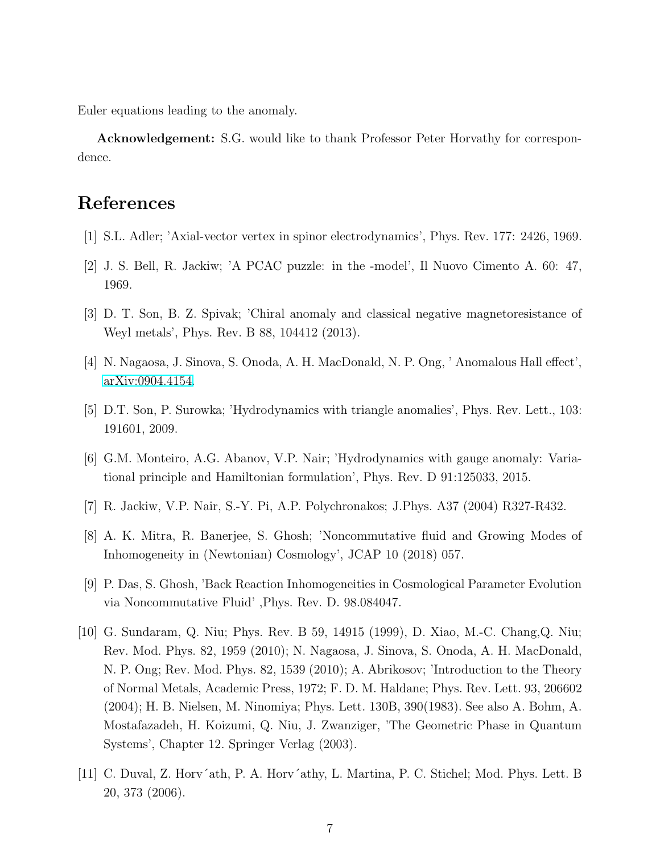Euler equations leading to the anomaly.

Acknowledgement: S.G. would like to thank Professor Peter Horvathy for correspondence.

### <span id="page-6-0"></span>References

- <span id="page-6-1"></span>[1] S.L. Adler; 'Axial-vector vertex in spinor electrodynamics', Phys. Rev. 177: 2426, 1969.
- <span id="page-6-2"></span>[2] J. S. Bell, R. Jackiw; 'A PCAC puzzle: in the -model', Il Nuovo Cimento A. 60: 47, 1969.
- <span id="page-6-3"></span>[3] D. T. Son, B. Z. Spivak; 'Chiral anomaly and classical negative magnetoresistance of Weyl metals', Phys. Rev. B 88, 104412 (2013).
- <span id="page-6-4"></span>[4] N. Nagaosa, J. Sinova, S. Onoda, A. H. MacDonald, N. P. Ong, ' Anomalous Hall effect', [arXiv:0904.4154.](http://arxiv.org/abs/0904.4154)
- <span id="page-6-5"></span>[5] D.T. Son, P. Surowka; 'Hydrodynamics with triangle anomalies', Phys. Rev. Lett., 103: 191601, 2009.
- <span id="page-6-6"></span>[6] G.M. Monteiro, A.G. Abanov, V.P. Nair; 'Hydrodynamics with gauge anomaly: Variational principle and Hamiltonian formulation', Phys. Rev. D 91:125033, 2015.
- <span id="page-6-7"></span>[7] R. Jackiw, V.P. Nair, S.-Y. Pi, A.P. Polychronakos; J.Phys. A37 (2004) R327-R432.
- <span id="page-6-8"></span>[8] A. K. Mitra, R. Banerjee, S. Ghosh; 'Noncommutative fluid and Growing Modes of Inhomogeneity in (Newtonian) Cosmology', JCAP 10 (2018) 057.
- <span id="page-6-9"></span>[9] P. Das, S. Ghosh, 'Back Reaction Inhomogeneities in Cosmological Parameter Evolution via Noncommutative Fluid' ,Phys. Rev. D. 98.084047.
- [10] G. Sundaram, Q. Niu; Phys. Rev. B 59, 14915 (1999), D. Xiao, M.-C. Chang,Q. Niu; Rev. Mod. Phys. 82, 1959 (2010); N. Nagaosa, J. Sinova, S. Onoda, A. H. MacDonald, N. P. Ong; Rev. Mod. Phys. 82, 1539 (2010); A. Abrikosov; 'Introduction to the Theory of Normal Metals, Academic Press, 1972; F. D. M. Haldane; Phys. Rev. Lett. 93, 206602 (2004); H. B. Nielsen, M. Ninomiya; Phys. Lett. 130B, 390(1983). See also A. Bohm, A. Mostafazadeh, H. Koizumi, Q. Niu, J. Zwanziger, 'The Geometric Phase in Quantum Systems', Chapter 12. Springer Verlag (2003).
- <span id="page-6-10"></span>[11] C. Duval, Z. Horv´ath, P. A. Horv´athy, L. Martina, P. C. Stichel; Mod. Phys. Lett. B 20, 373 (2006).